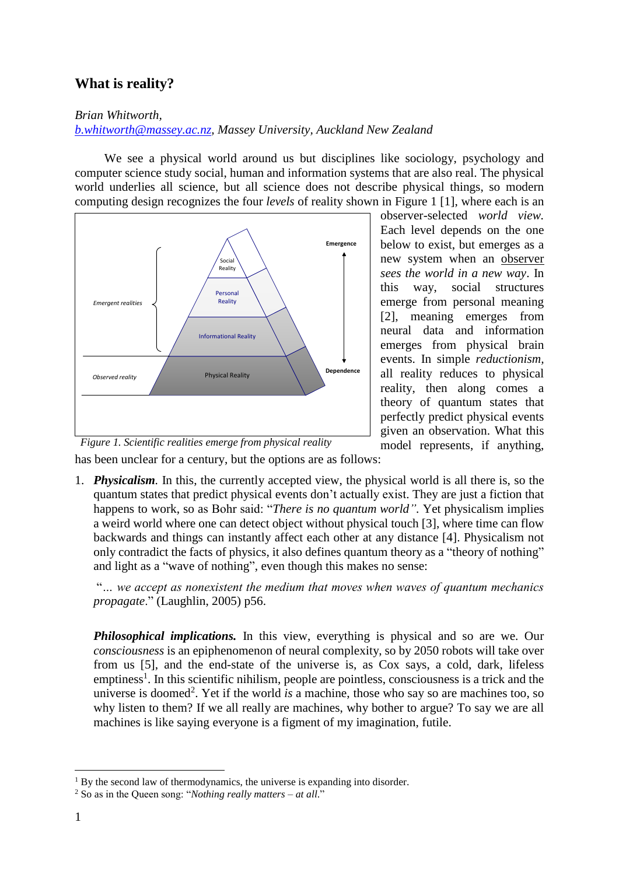## **What is reality?**

*Brian Whitworth,* 

## *[b.whitworth@massey.ac.nz,](mailto:b.whitworth@massey.ac.nz) Massey University, Auckland New Zealand*

We see a physical world around us but disciplines like sociology, psychology and computer science study social, human and information systems that are also real. The physical world underlies all science, but all science does not describe physical things, so modern computing design recognizes the four *levels* of reality shown in Figure 1 [1], where each is an



observer-selected *world view.* Each level depends on the one below to exist, but emerges as a new system when an observer *sees the world in a new way*. In this way, social structures emerge from personal meaning [2], meaning emerges from neural data and information emerges from physical brain events. In simple *reductionism,* all reality reduces to physical reality, then along comes a theory of quantum states that perfectly predict physical events given an observation. What this model represents, if anything,

has been unclear for a century, but the options are as follows:

1. *Physicalism.* In this, the currently accepted view, the physical world is all there is, so the quantum states that predict physical events don't actually exist. They are just a fiction that happens to work, so as Bohr said: "*There is no quantum world".* Yet physicalism implies a weird world where one can detect object without physical touch [3], where time can flow backwards and things can instantly affect each other at any distance [4]. Physicalism not only contradict the facts of physics, it also defines quantum theory as a "theory of nothing" and light as a "wave of nothing", even though this makes no sense:

"*… we accept as nonexistent the medium that moves when waves of quantum mechanics propagate*." (Laughlin, 2005) p56.

*Philosophical implications.* In this view, everything is physical and so are we. Our *consciousness* is an epiphenomenon of neural complexity, so by 2050 robots will take over from us [5], and the end-state of the universe is, as Cox says, a cold, dark, lifeless emptiness<sup>1</sup>. In this scientific nihilism, people are pointless, consciousness is a trick and the universe is doomed<sup>2</sup>. Yet if the world *is* a machine, those who say so are machines too, so why listen to them? If we all really are machines, why bother to argue? To say we are all machines is like saying everyone is a figment of my imagination, futile.

<sup>1</sup> <sup>1</sup> By the second law of thermodynamics, the universe is expanding into disorder.

<sup>2</sup> So as in the Queen song: "*Nothing really matters – at all*."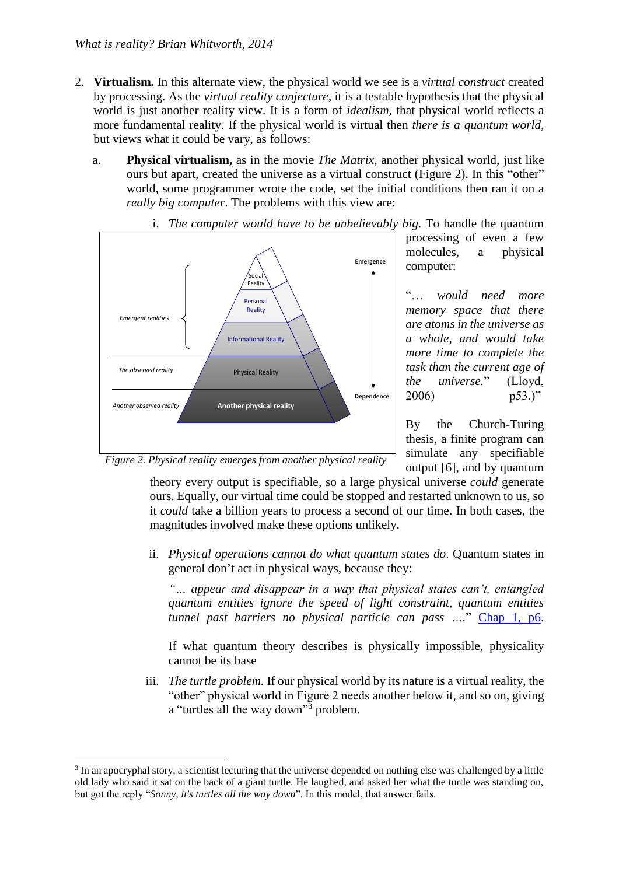- 2. **Virtualism.** In this alternate view, the physical world we see is a *virtual construct* created by processing. As the *virtual reality conjecture*, it is a testable hypothesis that the physical world is just another reality view. It is a form of *idealism,* that physical world reflects a more fundamental reality. If the physical world is virtual then *there is a quantum world,* but views what it could be vary, as follows:
	- a. **Physical virtualism,** as in the movie *The Matrix,* another physical world, just like ours but apart, created the universe as a virtual construct (Figure 2). In this "other" world, some programmer wrote the code, set the initial conditions then ran it on a *really big computer*. The problems with this view are:



i. *The computer would have to be unbelievably big*. To handle the quantum

processing of even a few molecules, a physical computer:

"… *would need more memory space that there are atoms in the universe as a whole, and would take more time to complete the task than the current age of the universe.*" (Lloyd, 2006) p53.)"

By the Church-Turing thesis, a finite program can simulate any specifiable output [6], and by quantum

*Figure 2. Physical reality emerges from another physical reality*

<u>.</u>

theory every output is specifiable, so a large physical universe *could* generate ours. Equally, our virtual time could be stopped and restarted unknown to us, so it *could* take a billion years to process a second of our time. In both cases, the magnitudes involved make these options unlikely.

ii. *Physical operations cannot do what quantum states do*. Quantum states in general don't act in physical ways, because they:

*"… appear and disappear in a way that physical states can't, entangled quantum entities ignore the speed of light constraint, quantum entities tunnel past barriers no physical particle can pass ….*" [Chap 1, p6.](http://brianwhitworth.com/BW-VRT1.pdf)

If what quantum theory describes is physically impossible, physicality cannot be its base

iii. *The turtle problem.* If our physical world by its nature is a virtual reality, the "other" physical world in Figure 2 needs another below it, and so on, giving a "turtles all the way down"<sup>3</sup> problem.

<sup>&</sup>lt;sup>3</sup> In an apocryphal story, a scientist lecturing that the universe depended on nothing else was challenged by a little old lady who said it sat on the back of a giant turtle. He laughed, and asked her what the turtle was standing on, but got the reply "*Sonny, it's turtles all the way down*". In this model, that answer fails.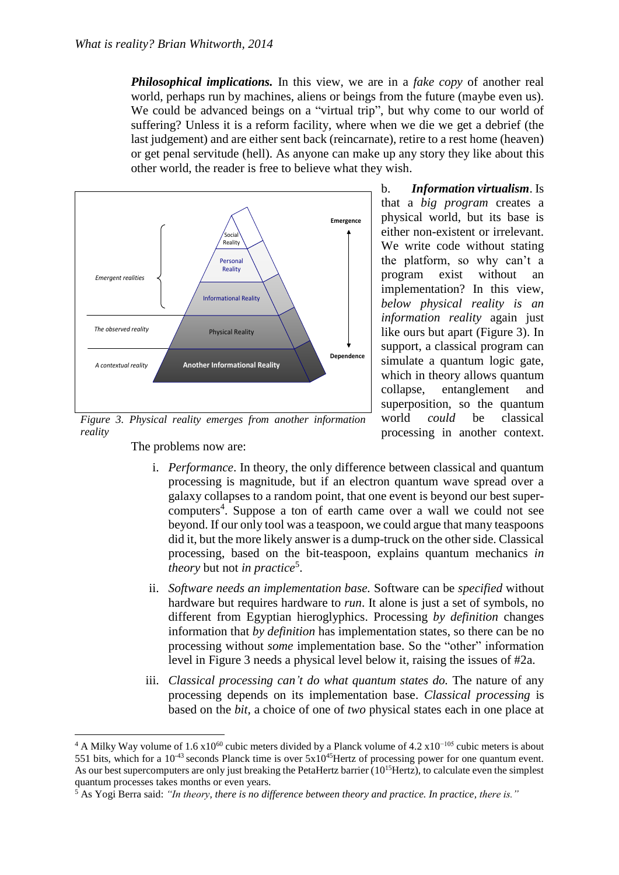*Philosophical implications.* In this view, we are in a *fake copy* of another real world, perhaps run by machines, aliens or beings from the future (maybe even us). We could be advanced beings on a "virtual trip", but why come to our world of suffering? Unless it is a reform facility, where when we die we get a debrief (the last judgement) and are either sent back (reincarnate), retire to a rest home (heaven) or get penal servitude (hell). As anyone can make up any story they like about this other world, the reader is free to believe what they wish.



*Figure 3. Physical reality emerges from another information reality*

b. *Information virtualism*. Is that a *big program* creates a physical world, but its base is either non-existent or irrelevant. We write code without stating the platform, so why can't a program exist without an implementation? In this view, *below physical reality is an information reality* again just like ours but apart (Figure 3). In support, a classical program can simulate a quantum logic gate, which in theory allows quantum collapse, entanglement and superposition, so the quantum world *could* be classical processing in another context.

The problems now are:

<u>.</u>

- i. *Performance*. In theory, the only difference between classical and quantum processing is magnitude, but if an electron quantum wave spread over a galaxy collapses to a random point, that one event is beyond our best supercomputers<sup>4</sup>. Suppose a ton of earth came over a wall we could not see beyond. If our only tool was a teaspoon, we could argue that many teaspoons did it, but the more likely answer is a dump-truck on the other side. Classical processing, based on the bit-teaspoon, explains quantum mechanics *in theory* but not *in practice*<sup>5</sup> .
- ii. *Software needs an implementation base.* Software can be *specified* without hardware but requires hardware to *run*. It alone is just a set of symbols, no different from Egyptian hieroglyphics. Processing *by definition* changes information that *by definition* has implementation states, so there can be no processing without *some* implementation base. So the "other" information level in Figure 3 needs a physical level below it, raising the issues of #2a.
- iii. *Classical processing can't do what quantum states do.* The nature of any processing depends on its implementation base. *Classical processing* is based on the *bit*, a choice of one of *two* physical states each in one place at

<sup>&</sup>lt;sup>4</sup> A Milky Way volume of 1.6 x10<sup>60</sup> cubic meters divided by a Planck volume of 4.2 x10<sup>-105</sup> cubic meters is about 551 bits, which for a  $10^{-43}$  seconds Planck time is over  $5x10^{45}$ Hertz of processing power for one quantum event. As our best supercomputers are only just breaking the PetaHertz barrier (10<sup>15</sup>Hertz), to calculate even the simplest quantum processes takes months or even years.

<sup>5</sup> As Yogi Berra said: *"In theory, there is no difference between theory and practice. In practice, there is."*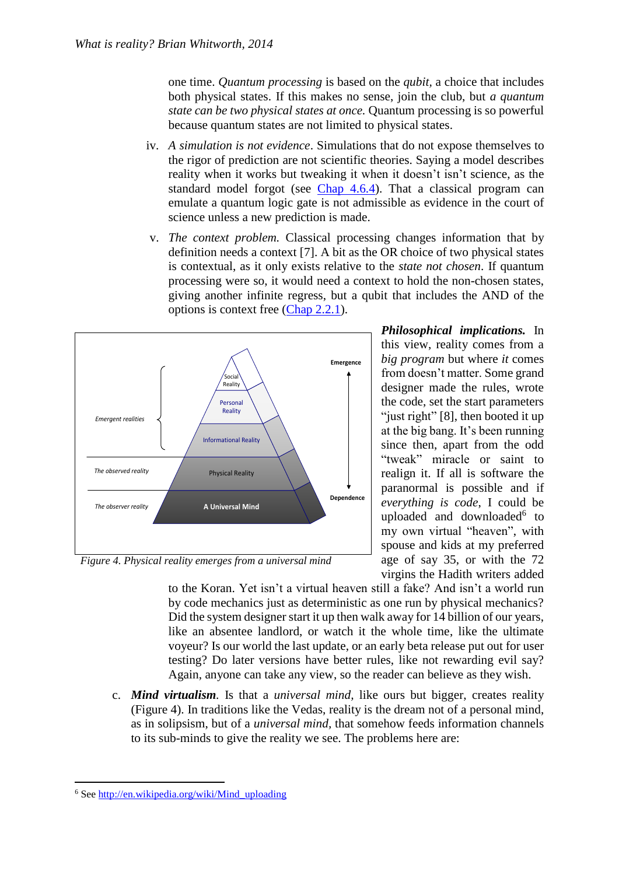one time. *Quantum processing* is based on the *qubit,* a choice that includes both physical states. If this makes no sense, join the club, but *a quantum state can be two physical states at once.* Quantum processing is so powerful because quantum states are not limited to physical states.

- iv. *A simulation is not evidence*. Simulations that do not expose themselves to the rigor of prediction are not scientific theories. Saying a model describes reality when it works but tweaking it when it doesn't isn't science, as the standard model forgot (see [Chap 4.6.4\)](http://brianwhitworth.com/BW-VRT4.pdf). That a classical program can emulate a quantum logic gate is not admissible as evidence in the court of science unless a new prediction is made.
- v. *The context problem.* Classical processing changes information that by definition needs a context [7]. A bit as the OR choice of two physical states is contextual, as it only exists relative to the *state not chosen*. If quantum processing were so, it would need a context to hold the non-chosen states, giving another infinite regress, but a qubit that includes the AND of the options is context free [\(Chap 2.2.1\)](http://brianwhitworth.com/BW-VRT2.pdf).



at the big bang. It's been running since then, apart from the odd "tweak" miracle or saint to realign it. If all is software the paranormal is possible and if *everything is code*, I could be uploaded and downloaded<sup>6</sup> to my own virtual "heaven", with spouse and kids at my preferred age of say 35, or with the 72 virgins the Hadith writers added

*Philosophical implications.* In this view, reality comes from a *big program* but where *it* comes from doesn't matter. Some grand designer made the rules, wrote the code, set the start parameters "just right" [8], then booted it up

*Figure 4. Physical reality emerges from a universal mind*

to the Koran. Yet isn't a virtual heaven still a fake? And isn't a world run by code mechanics just as deterministic as one run by physical mechanics? Did the system designer start it up then walk away for 14 billion of our years, like an absentee landlord, or watch it the whole time, like the ultimate voyeur? Is our world the last update, or an early beta release put out for user testing? Do later versions have better rules, like not rewarding evil say? Again, anyone can take any view, so the reader can believe as they wish.

c. *Mind virtualism.* Is that a *universal mind,* like ours but bigger, creates reality (Figure 4). In traditions like the Vedas, reality is the dream not of a personal mind, as in solipsism, but of a *universal mind,* that somehow feeds information channels to its sub-minds to give the reality we see. The problems here are:

1

<sup>6</sup> Se[e http://en.wikipedia.org/wiki/Mind\\_uploading](http://en.wikipedia.org/wiki/Mind_uploading)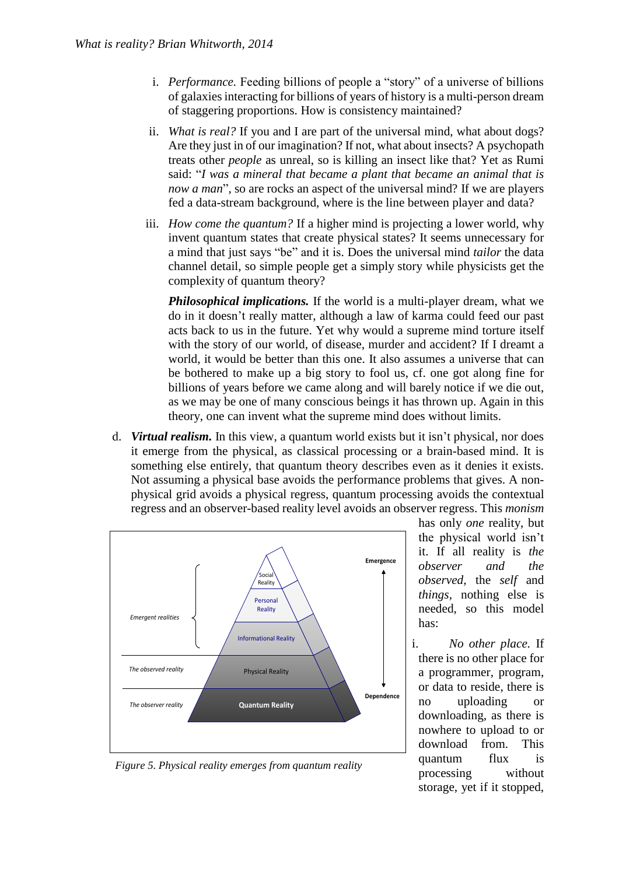- i. *Performance.* Feeding billions of people a "story" of a universe of billions of galaxies interacting for billions of years of history is a multi-person dream of staggering proportions. How is consistency maintained?
- ii. *What is real?* If you and I are part of the universal mind, what about dogs? Are they just in of our imagination? If not, what about insects? A psychopath treats other *people* as unreal, so is killing an insect like that? Yet as Rumi said: "*I was a mineral that became a plant that became an animal that is now a man*", so are rocks an aspect of the universal mind? If we are players fed a data-stream background, where is the line between player and data?
- iii. *How come the quantum?* If a higher mind is projecting a lower world, why invent quantum states that create physical states? It seems unnecessary for a mind that just says "be" and it is. Does the universal mind *tailor* the data channel detail, so simple people get a simply story while physicists get the complexity of quantum theory?

*Philosophical implications.* If the world is a multi-player dream, what we do in it doesn't really matter, although a law of karma could feed our past acts back to us in the future. Yet why would a supreme mind torture itself with the story of our world, of disease, murder and accident? If I dreamt a world, it would be better than this one. It also assumes a universe that can be bothered to make up a big story to fool us, cf. one got along fine for billions of years before we came along and will barely notice if we die out, as we may be one of many conscious beings it has thrown up. Again in this theory, one can invent what the supreme mind does without limits.

d. *Virtual realism.* In this view, a quantum world exists but it isn't physical, nor does it emerge from the physical, as classical processing or a brain-based mind. It is something else entirely, that quantum theory describes even as it denies it exists. Not assuming a physical base avoids the performance problems that gives. A nonphysical grid avoids a physical regress, quantum processing avoids the contextual regress and an observer-based reality level avoids an observer regress. This *monism*



*Figure 5. Physical reality emerges from quantum reality*

has only *one* reality, but the physical world isn't it. If all reality is *the observer and the observed,* the *self* and *things,* nothing else is needed, so this model has:

i. *No other place.* If there is no other place for a programmer, program, or data to reside, there is no uploading or downloading, as there is nowhere to upload to or download from. This quantum flux is processing without storage, yet if it stopped,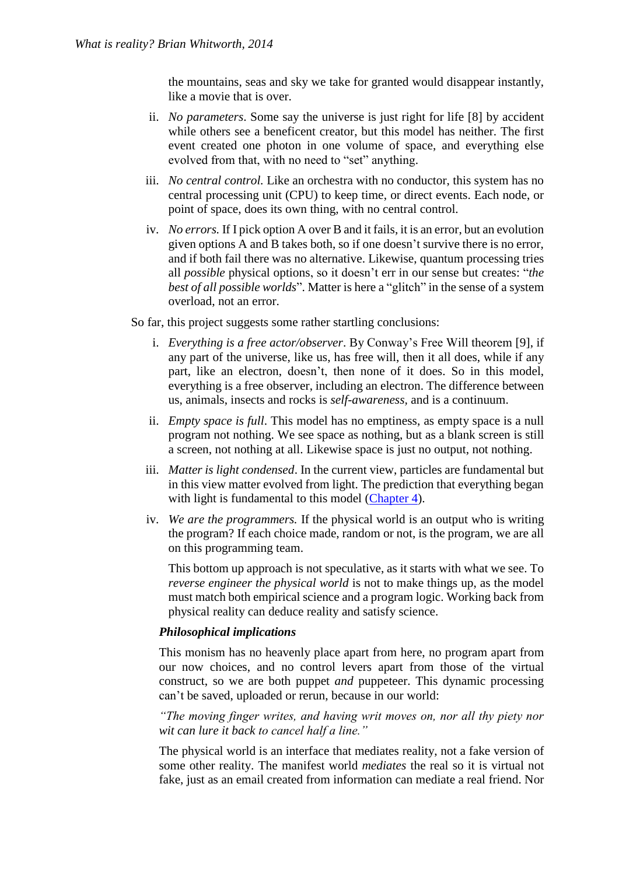the mountains, seas and sky we take for granted would disappear instantly, like a movie that is over.

- ii. *No parameters*. Some say the universe is just right for life [8] by accident while others see a beneficent creator, but this model has neither. The first event created one photon in one volume of space, and everything else evolved from that, with no need to "set" anything.
- iii. *No central control.* Like an orchestra with no conductor, this system has no central processing unit (CPU) to keep time, or direct events. Each node, or point of space, does its own thing, with no central control.
- iv. *No errors.* If I pick option A over B and it fails, it is an error, but an evolution given options A and B takes both, so if one doesn't survive there is no error, and if both fail there was no alternative. Likewise, quantum processing tries all *possible* physical options, so it doesn't err in our sense but creates: "*the best of all possible worlds*". Matter is here a "glitch" in the sense of a system overload, not an error.

So far, this project suggests some rather startling conclusions:

- i. *Everything is a free actor/observer*. By Conway's Free Will theorem [9], if any part of the universe, like us, has free will, then it all does, while if any part, like an electron, doesn't, then none of it does. So in this model, everything is a free observer, including an electron. The difference between us, animals, insects and rocks is *self-awareness,* and is a continuum.
- ii. *Empty space is full*. This model has no emptiness, as empty space is a null program not nothing. We see space as nothing, but as a blank screen is still a screen, not nothing at all. Likewise space is just no output, not nothing.
- iii. *Matter is light condensed*. In the current view, particles are fundamental but in this view matter evolved from light. The prediction that everything began with light is fundamental to this model [\(Chapter 4\)](http://brianwhitworth.com/BW-VRT4.pdf).
- iv. *We are the programmers.* If the physical world is an output who is writing the program? If each choice made, random or not, is the program, we are all on this programming team.

This bottom up approach is not speculative, as it starts with what we see. To *reverse engineer the physical world* is not to make things up, as the model must match both empirical science and a program logic. Working back from physical reality can deduce reality and satisfy science.

## *Philosophical implications*

This monism has no heavenly place apart from here, no program apart from our now choices, and no control levers apart from those of the virtual construct, so we are both puppet *and* puppeteer. This dynamic processing can't be saved, uploaded or rerun, because in our world:

*"The moving finger writes, and having writ moves on, nor all thy piety nor wit can lure it back to cancel half a line."*

The physical world is an interface that mediates reality, not a fake version of some other reality. The manifest world *mediates* the real so it is virtual not fake, just as an email created from information can mediate a real friend. Nor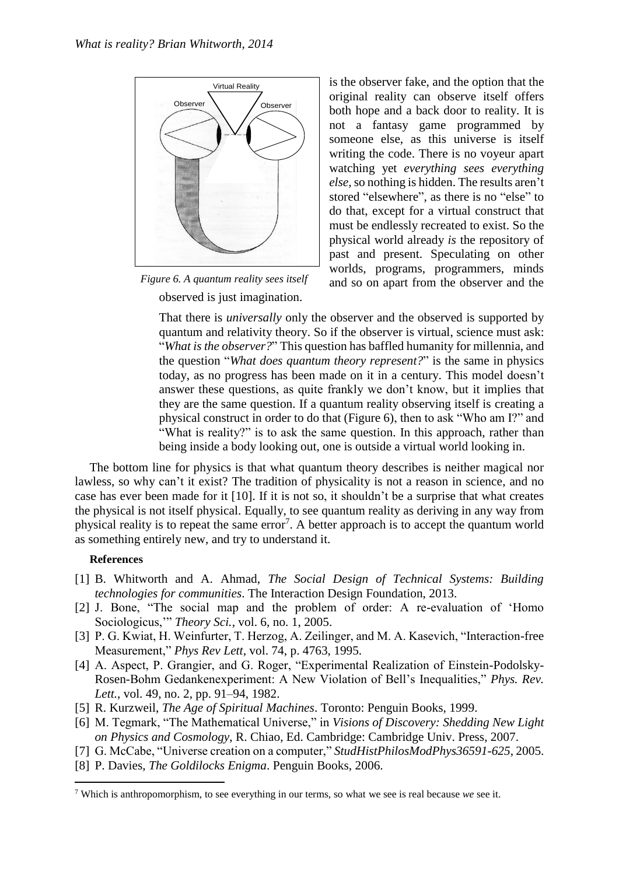

observed is just imagination. *Figure 6. A quantum reality sees itself*

is the observer fake, and the option that the original reality can observe itself offers both hope and a back door to reality. It is not a fantasy game programmed by someone else, as this universe is itself writing the code. There is no voyeur apart watching yet *everything sees everything else,*so nothing is hidden. The results aren't stored "elsewhere", as there is no "else" to do that, except for a virtual construct that must be endlessly recreated to exist. So the physical world already *is* the repository of past and present. Speculating on other worlds, programs, programmers, minds and so on apart from the observer and the

That there is *universally* only the observer and the observed is supported by quantum and relativity theory. So if the observer is virtual, science must ask: "*What is the observer?*" This question has baffled humanity for millennia, and the question "*What does quantum theory represent?*" is the same in physics today, as no progress has been made on it in a century. This model doesn't answer these questions, as quite frankly we don't know, but it implies that they are the same question. If a quantum reality observing itself is creating a physical construct in order to do that (Figure 6), then to ask "Who am I?" and "What is reality?" is to ask the same question. In this approach, rather than being inside a body looking out, one is outside a virtual world looking in.

The bottom line for physics is that what quantum theory describes is neither magical nor lawless, so why can't it exist? The tradition of physicality is not a reason in science, and no case has ever been made for it [10]. If it is not so, it shouldn't be a surprise that what creates the physical is not itself physical. Equally, to see quantum reality as deriving in any way from physical reality is to repeat the same error<sup>7</sup>. A better approach is to accept the quantum world as something entirely new, and try to understand it.

## **References**

1

- [1] B. Whitworth and A. Ahmad, *The Social Design of Technical Systems: Building technologies for communities*. The Interaction Design Foundation, 2013.
- [2] J. Bone, "The social map and the problem of order: A re-evaluation of 'Homo Sociologicus,'" *Theory Sci.*, vol. 6, no. 1, 2005.
- [3] P. G. Kwiat, H. Weinfurter, T. Herzog, A. Zeilinger, and M. A. Kasevich, "Interaction-free Measurement," *Phys Rev Lett*, vol. 74, p. 4763, 1995.
- [4] A. Aspect, P. Grangier, and G. Roger, "Experimental Realization of Einstein-Podolsky-Rosen-Bohm Gedankenexperiment: A New Violation of Bell's Inequalities," *Phys. Rev. Lett.*, vol. 49, no. 2, pp. 91–94, 1982.
- [5] R. Kurzweil, *The Age of Spiritual Machines*. Toronto: Penguin Books, 1999.
- [6] M. Tegmark, "The Mathematical Universe," in *Visions of Discovery: Shedding New Light on Physics and Cosmology*, R. Chiao, Ed. Cambridge: Cambridge Univ. Press, 2007.
- [7] G. McCabe, "Universe creation on a computer," *StudHistPhilosModPhys36591-625*, 2005.
- [8] P. Davies, *The Goldilocks Enigma*. Penguin Books, 2006.

<sup>7</sup> Which is anthropomorphism, to see everything in our terms, so what we see is real because *we* see it.